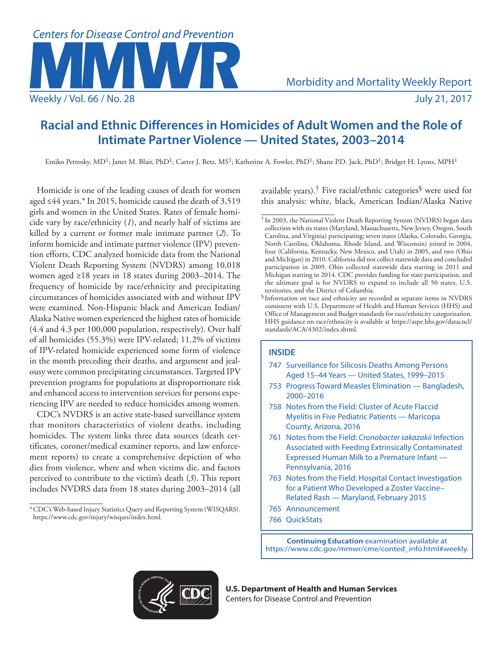

# **Racial and Ethnic Differences in Homicides of Adult Women and the Role of Intimate Partner Violence — United States, 2003–2014**

Emiko Petrosky, MD<sup>1</sup>; Janet M. Blair, PhD<sup>1</sup>; Carter J. Betz, MS<sup>1</sup>; Katherine A. Fowler, PhD<sup>1</sup>; Shane P.D. Jack, PhD<sup>1</sup>; Bridget H. Lyons, MPH<sup>1</sup>

Homicide is one of the leading causes of death for women aged ≤44 years.\* In 2015, homicide caused the death of 3,519 girls and women in the United States. Rates of female homicide vary by race/ethnicity (*1*), and nearly half of victims are killed by a current or former male intimate partner (*2*). To inform homicide and intimate partner violence (IPV) prevention efforts, CDC analyzed homicide data from the National Violent Death Reporting System (NVDRS) among 10,018 women aged ≥18 years in 18 states during 2003–2014. The frequency of homicide by race/ethnicity and precipitating circumstances of homicides associated with and without IPV were examined. Non-Hispanic black and American Indian/ Alaska Native women experienced the highest rates of homicide (4.4 and 4.3 per 100,000 population, respectively). Over half of all homicides (55.3%) were IPV-related; 11.2% of victims of IPV-related homicide experienced some form of violence in the month preceding their deaths, and argument and jealousy were common precipitating circumstances. Targeted IPV prevention programs for populations at disproportionate risk and enhanced access to intervention services for persons experiencing IPV are needed to reduce homicides among women.

CDC's NVDRS is an active state-based surveillance system that monitors characteristics of violent deaths, including homicides. The system links three data sources (death certificates, coroner/medical examiner reports, and law enforcement reports) to create a comprehensive depiction of who dies from violence, where and when victims die, and factors perceived to contribute to the victim's death (*3*). This report includes NVDRS data from 18 states during 2003–2014 (all

\*CDC's Web-based Injury Statistics Query and Reporting System (WISQARS). [https://www.cdc.gov/injury/wisqars/index.html.](https://www.cdc.gov/injury/wisqars/index.html)

available years).<sup>†</sup> Five racial/ethnic categories<sup>§</sup> were used for this analysis: white, black, American Indian/Alaska Native

# **INSIDE**

- 747 Surveillance for Silicosis Deaths Among Persons Aged 15–44 Years — United States, 1999–2015
- 753 Progress Toward Measles Elimination Bangladesh, 2000–2016
- 758 Notes from the Field: Cluster of Acute Flaccid Myelitis in Five Pediatric Patients — Maricopa County, Arizona, 2016
- 761 Notes from the Field: *Cronobacter sakazakii* Infection Associated with Feeding Extrinsically Contaminated Expressed Human Milk to a Premature Infant — Pennsylvania, 2016
- 763 Notes from the Field: Hospital Contact Investigation for a Patient Who Developed a Zoster Vaccine– Related Rash — Maryland, February 2015
- 765 Announcement
- 766 QuickStats

**Continuing Education** examination available at [https://www.cdc.gov/mmwr/cme/conted\\_info.html#weekly](https://www.cdc.gov/mmwr/cme/conted_info.html#weekly).



**U.S. Department of Health and Human Services** Centers for Disease Control and Prevention

<sup>†</sup> In 2003, the National Violent Death Reporting System (NVDRS) began data collection with six states (Maryland, Massachusetts, New Jersey, Oregon, South Carolina, and Virginia) participating; seven states (Alaska, Colorado, Georgia, North Carolina, Oklahoma, Rhode Island, and Wisconsin) joined in 2004, four (California, Kentucky, New Mexico, and Utah) in 2005, and two (Ohio and Michigan) in 2010. California did not collect statewide data and concluded participation in 2009. Ohio collected statewide data starting in 2011 and Michigan starting in 2014. CDC provides funding for state participation, and the ultimate goal is for NVDRS to expand to include all 50 states, U.S. territories, and the District of Columbia.

<sup>§</sup> Information on race and ethnicity are recorded as separate items in NVDRS consistent with U.S. Department of Health and Human Services (HHS) and Office of Management and Budget standards for race/ethnicity categorization. HHS guidance on race/ethnicity is available at [https://aspe.hhs.gov/datacncl/](https://aspe.hhs.gov/datacncl/standards/ACA/4302/index.shtml) [standards/ACA/4302/index.shtml](https://aspe.hhs.gov/datacncl/standards/ACA/4302/index.shtml).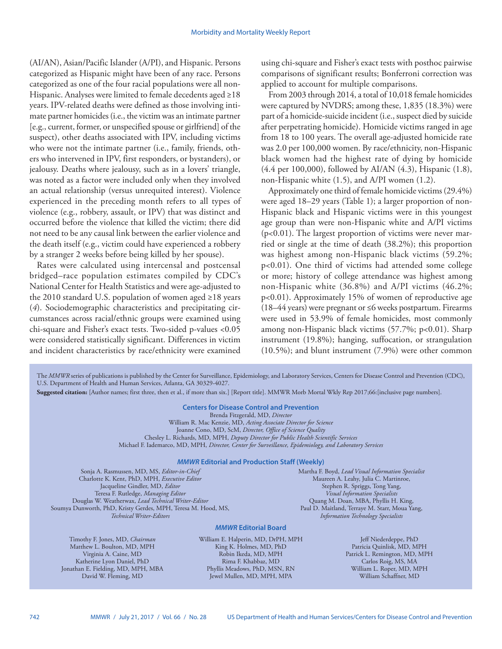(AI/AN), Asian/Pacific Islander (A/PI), and Hispanic. Persons categorized as Hispanic might have been of any race. Persons categorized as one of the four racial populations were all non-Hispanic. Analyses were limited to female decedents aged ≥18 years. IPV-related deaths were defined as those involving intimate partner homicides (i.e., the victim was an intimate partner [e.g., current, former, or unspecified spouse or girlfriend] of the suspect), other deaths associated with IPV, including victims who were not the intimate partner (i.e., family, friends, others who intervened in IPV, first responders, or bystanders), or jealousy. Deaths where jealousy, such as in a lovers' triangle, was noted as a factor were included only when they involved an actual relationship (versus unrequited interest). Violence experienced in the preceding month refers to all types of violence (e.g., robbery, assault, or IPV) that was distinct and occurred before the violence that killed the victim; there did not need to be any causal link between the earlier violence and the death itself (e.g., victim could have experienced a robbery by a stranger 2 weeks before being killed by her spouse).

Rates were calculated using intercensal and postcensal bridged–race population estimates compiled by CDC's National Center for Health Statistics and were age-adjusted to the 2010 standard U.S. population of women aged ≥18 years (*4*). Sociodemographic characteristics and precipitating circumstances across racial/ethnic groups were examined using chi-square and Fisher's exact tests. Two-sided p-values <0.05 were considered statistically significant. Differences in victim and incident characteristics by race/ethnicity were examined using chi-square and Fisher's exact tests with posthoc pairwise comparisons of significant results; Bonferroni correction was applied to account for multiple comparisons.

From 2003 through 2014, a total of 10,018 female homicides were captured by NVDRS; among these, 1,835 (18.3%) were part of a homicide-suicide incident (i.e., suspect died by suicide after perpetrating homicide). Homicide victims ranged in age from 18 to 100 years. The overall age-adjusted homicide rate was 2.0 per 100,000 women. By race/ethnicity, non-Hispanic black women had the highest rate of dying by homicide (4.4 per 100,000), followed by AI/AN (4.3), Hispanic (1.8), non-Hispanic white (1.5), and A/PI women (1.2).

Approximately one third of female homicide victims (29.4%) were aged 18–29 years (Table 1); a larger proportion of non-Hispanic black and Hispanic victims were in this youngest age group than were non-Hispanic white and A/PI victims (p<0.01). The largest proportion of victims were never married or single at the time of death (38.2%); this proportion was highest among non-Hispanic black victims (59.2%; p<0.01). One third of victims had attended some college or more; history of college attendance was highest among non-Hispanic white (36.8%) and A/PI victims (46.2%; p<0.01). Approximately 15% of women of reproductive age (18–44 years) were pregnant or ≤6 weeks postpartum. Firearms were used in 53.9% of female homicides, most commonly among non-Hispanic black victims (57.7%; p<0.01). Sharp instrument (19.8%); hanging, suffocation, or strangulation (10.5%); and blunt instrument (7.9%) were other common

The *MMWR* series of publications is published by the Center for Surveillance, Epidemiology, and Laboratory Services, Centers for Disease Control and Prevention (CDC), U.S. Department of Health and Human Services, Atlanta, GA 30329-4027.

**Suggested citation:** [Author names; first three, then et al., if more than six.] [Report title]. MMWR Morb Mortal Wkly Rep 2017;66:[inclusive page numbers].

**Centers for Disease Control and Prevention**

Brenda Fitzgerald, MD, *Director* William R. Mac Kenzie, MD, *Acting Associate Director for Science* Joanne Cono, MD, ScM, *Director, Office of Science Quality* 

Chesley L. Richards, MD, MPH, *Deputy Director for Public Health Scientific Services* Michael F. Iademarco, MD, MPH, *Director, Center for Surveillance, Epidemiology, and Laboratory Services*

#### *MMWR* **Editorial and Production Staff (Weekly)**

Sonja A. Rasmussen, MD, MS, *Editor-in-Chief* Charlotte K. Kent, PhD, MPH, *Executive Editor* Jacqueline Gindler, MD, *Editor* Teresa F. Rutledge, *Managing Editor* Douglas W. Weatherwax, *Lead Technical Writer-Editor* Soumya Dunworth, PhD, Kristy Gerdes, MPH, Teresa M. Hood, MS, *Technical Writer-Editors*

Martha F. Boyd, *Lead Visual Information Specialist* Maureen A. Leahy, Julia C. Martinroe, Stephen R. Spriggs, Tong Yang, *Visual Information Specialists* Quang M. Doan, MBA, Phyllis H. King, Paul D. Maitland, Terraye M. Starr, Moua Yang, *Information Technology Specialists*

# *MMWR* **Editorial Board**

Timothy F. Jones, MD, *Chairman* Matthew L. Boulton, MD, MPH Virginia A. Caine, MD Katherine Lyon Daniel, PhD Jonathan E. Fielding, MD, MPH, MBA David W. Fleming, MD

William E. Halperin, MD, DrPH, MPH King K. Holmes, MD, PhD Robin Ikeda, MD, MPH Rima F. Khabbaz, MD Phyllis Meadows, PhD, MSN, RN Jewel Mullen, MD, MPH, MPA

Jeff Niederdeppe, PhD Patricia Quinlisk, MD, MPH Patrick L. Remington, MD, MPH Carlos Roig, MS, MA William L. Roper, MD, MPH William Schaffner, MD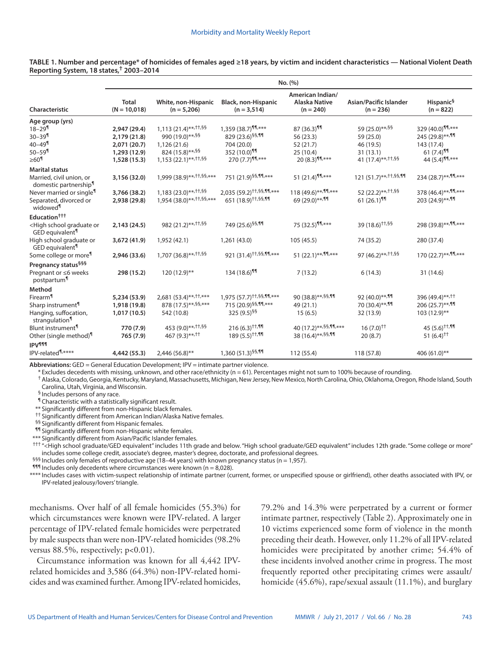|                                                                        | NO. (%)                        |                                      |                                      |                                                         |                                       |                                                         |  |
|------------------------------------------------------------------------|--------------------------------|--------------------------------------|--------------------------------------|---------------------------------------------------------|---------------------------------------|---------------------------------------------------------|--|
| Characteristic                                                         | <b>Total</b><br>$(N = 10,018)$ | White, non-Hispanic<br>$(n = 5,206)$ | Black, non-Hispanic<br>$(n = 3.514)$ | American Indian/<br><b>Alaska Native</b><br>$(n = 240)$ | Asian/Pacific Islander<br>$(n = 236)$ | Hispanic <sup>§</sup><br>$(n = 822)$                    |  |
| Age group (yrs)                                                        |                                |                                      |                                      |                                                         |                                       |                                                         |  |
| $18 - 29$                                                              | 2,947 (29.4)                   | 1,113 (21.4)**, + +, 5 \$            | 1,359 (38.7) 11,***                  | $87(36.3)$ <sup>99</sup>                                | 59 (25.0)**,§§                        | 329 (40.0) 11,***                                       |  |
| $30 - 39$ <sup>1</sup>                                                 | 2,179 (21.8)                   | 990 (19.0)**,§§                      | 829 (23.6) <sup>§§,¶¶</sup>          | 56 (23.3)                                               | 59 (25.0)                             | 245 (29.8)**,¶¶                                         |  |
| 40–49¶                                                                 | 2,071 (20.7)                   | 1,126 (21.6)                         | 704 (20.0)                           | 52 (21.7)                                               | 46 (19.5)                             | 143 (17.4)                                              |  |
| $50 - 59$ <sup>¶</sup>                                                 | 1,293 (12.9)                   | 824 (15.8)**,§§                      | 352 (10.0) <sup>99</sup>             | 25(10.4)                                                | 31(13.1)                              | 61 $(7.4)$ <sup>99</sup>                                |  |
| $\geq 60$ <sup>1</sup>                                                 | 1,528 (15.3)                   | 1,153 (22.1)**, + +, \$\$            | 270 (7.7) 11,***                     | 20 (8.3) 11,***                                         | 41 (17.4)**, ++, §§                   | 44 (5.4) <b>11</b> ,***                                 |  |
| <b>Marital status</b>                                                  |                                |                                      |                                      |                                                         |                                       |                                                         |  |
| Married, civil union, or<br>domestic partnership <sup>1</sup>          | 3,156 (32.0)                   | 1,999 (38.9)**, ++, \$\$, ***        | 751 (21.9) §§, 11,***                | 51 $(21.4)$ <sup>99</sup> ***                           | 121 (51.7)**, ++, \$\$, 99            | 234 (28.7)**, 11,***                                    |  |
| Never married or single <sup>¶</sup>                                   | 3,766 (38.2)                   | 1,183 (23.0)**, <sup>++,§§</sup>     | 2,035 (59.2) <sup>++,§§,¶¶,***</sup> | 118 (49.6)**, 11,***                                    | 52 (22.2)**, ++, \$\$                 | 378 (46.4)**,¶¶,***                                     |  |
| Separated, divorced or<br>widowed <sup>¶</sup>                         | 2,938 (29.8)                   | 1,954 (38.0)**, ++, \$\$, ***        | 651 (18.9) ++, \$\$, 11              | 69 (29.0)**,¶¶                                          | $61(26.1)$ ¶                          | 203 (24.9)**, 11                                        |  |
| Education <sup>†††</sup>                                               |                                |                                      |                                      |                                                         |                                       |                                                         |  |
| <high graduate="" or<br="" school="">GED equivalent<sup>¶</sup></high> | 2,143(24.5)                    | 982 (21.2)**, +, 59                  | 749 (25.6) §§,¶¶                     | 75 (32.5) <sup>99,***</sup>                             | 39 (18.6) <sup>++,§§</sup>            | 298 (39.8)**,¶¶,***                                     |  |
| High school graduate or<br>GED equivalent <sup>1</sup>                 | 3,672 (41.9)                   | 1,952 (42.1)                         | 1,261 (43.0)                         | 105 (45.5)                                              | 74 (35.2)                             | 280 (37.4)                                              |  |
| Some college or more <sup>¶</sup>                                      | 2,946 (33.6)                   | 1,707 (36.8)**, + +, \$\$            | 921 (31.4) <sup>++,§§,¶¶,***</sup>   | 51 (22.1)**, 11,***                                     | 97 (46.2)**, ++, \$\$                 | 170 (22.7)**, 11,***                                    |  |
| Pregnancy status <sup>§§§</sup>                                        |                                |                                      |                                      |                                                         |                                       |                                                         |  |
| Pregnant or ≤6 weeks<br>postpartum <sup>1</sup>                        | 298 (15.2)                     | 120 (12.9)**                         | $134(18.6)$ <sup>11</sup>            | 7(13.2)                                                 | 6(14.3)                               | 31 (14.6)                                               |  |
| Method                                                                 |                                |                                      |                                      |                                                         |                                       |                                                         |  |
| Firearm <sup>¶</sup>                                                   | 5,234 (53.9)                   | 2,681 (53.4)**, *****                | 1,975 (57.7) ++, \$\$, 99, ***       | 90 (38.8)**, \$\$, 11                                   | 92 (40.0)**,¶¶                        | 396 (49.4)**, <sup>++</sup>                             |  |
| Sharp instrument <sup>¶</sup>                                          | 1,918 (19.8)                   | 878 (17.5)**, \$\$,***               | 715 (20.9) \$5, 11,***               | 49 (21.1)                                               | 70 (30.4)**,¶¶                        | 206 (25.7)**,¶¶                                         |  |
| Hanging, suffocation,<br>strangulation                                 | 1,017(10.5)                    | 542 (10.8)                           | 325 (9.5) §§                         | 15(6.5)                                                 | 32 (13.9)                             | $103(12.9)$ **                                          |  |
| Blunt instrument <sup>¶</sup>                                          | 770 (7.9)                      | 453 (9.0)**, 11, \$§                 | $216(6.3)$ <sup>++,¶¶</sup>          | 40 (17.2)**, \$\$, ¶¶, ***                              | $16(7.0)^{+}$                         | 45 $(5.6)$ <sup><math>\uparrow\uparrow, \P</math></sup> |  |
| Other (single method) <sup>1</sup>                                     | 765 (7.9)                      | 467 (9.3)**, <sup>++</sup>           | 189 (5.5) ++, 11                     | 38 (16.4)**, \$\$, 11                                   | 20(8.7)                               | 51 $(6.4)$ <sup>††</sup>                                |  |
| <b>IPV<sup>¶¶¶</sup></b>                                               |                                |                                      |                                      |                                                         |                                       |                                                         |  |
| IPV-related <sup>¶,****</sup>                                          | 4,442 (55.3)                   | 2,446 (56.8)**                       | 1,360 (51.3) <sup>§§,¶¶</sup>        | 112 (55.4)                                              | 118 (57.8)                            | 406 (61.0)**                                            |  |

**TABLE 1. Number and percentage\* of homicides of females aged ≥18 years, by victim and incident characteristics — National Violent Death Reporting System, 18 states,† 2003–2014**

**No. (%)**

**Abbreviations:** GED = General Education Development; IPV = intimate partner violence.

\* Excludes decedents with missing, unknown, and other race/ethnicity (n = 61). Percentages might not sum to 100% because of rounding.

† Alaska, Colorado, Georgia, Kentucky, Maryland, Massachusetts, Michigan, New Jersey, New Mexico, North Carolina, Ohio, Oklahoma, Oregon, Rhode Island, South Carolina, Utah, Virginia, and Wisconsin.

§ Includes persons of any race.

¶ Characteristic with a statistically significant result.

\*\* Significantly different from non-Hispanic black females.

†† Significantly different from American Indian/Alaska Native females.

§§ Significantly different from Hispanic females.

¶¶ Significantly different from non-Hispanic white females.

\*\*\* Significantly different from Asian/Pacific Islander females.

††† "<High school graduate/GED equivalent" includes 11th grade and below. "High school graduate/GED equivalent" includes 12th grade. "Some college or more" includes some college credit, associate's degree, master's degree, doctorate, and professional degrees.

§§§ Includes only females of reproductive age (18–44 years) with known pregnancy status (n = 1,957).

 $\P$ <sup>11</sup> Includes only decedents where circumstances were known (n = 8,028).

\*\*\*\* Includes cases with victim-suspect relationship of intimate partner (current, former, or unspecified spouse or girlfriend), other deaths associated with IPV, or IPV-related jealousy/lovers' triangle.

mechanisms. Over half of all female homicides (55.3%) for which circumstances were known were IPV-related. A larger percentage of IPV-related female homicides were perpetrated by male suspects than were non-IPV-related homicides (98.2% versus 88.5%, respectively; p<0.01).

Circumstance information was known for all 4,442 IPVrelated homicides and 3,586 (64.3%) non-IPV-related homicides and was examined further. Among IPV-related homicides, 79.2% and 14.3% were perpetrated by a current or former intimate partner, respectively (Table 2). Approximately one in 10 victims experienced some form of violence in the month preceding their death. However, only 11.2% of all IPV-related homicides were precipitated by another crime; 54.4% of these incidents involved another crime in progress. The most frequently reported other precipitating crimes were assault/ homicide (45.6%), rape/sexual assault (11.1%), and burglary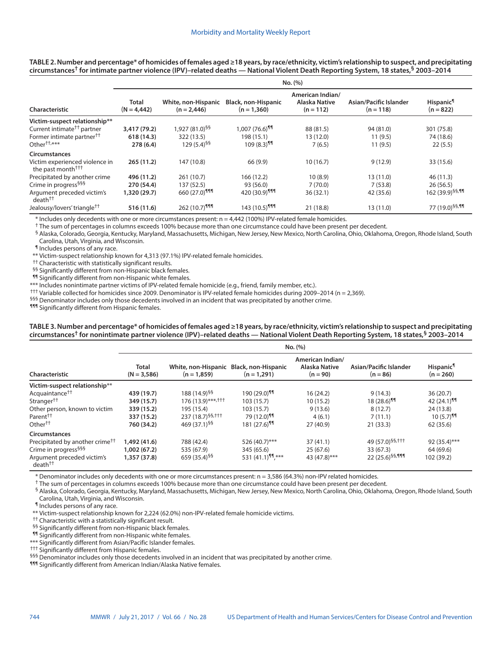|                                                                 | No. (%)                       |                                      |                                      |                                                  |                                       |                                            |  |
|-----------------------------------------------------------------|-------------------------------|--------------------------------------|--------------------------------------|--------------------------------------------------|---------------------------------------|--------------------------------------------|--|
| Characteristic                                                  | <b>Total</b><br>$(N = 4,442)$ | White, non-Hispanic<br>$(n = 2,446)$ | Black, non-Hispanic<br>$(n = 1,360)$ | American Indian/<br>Alaska Native<br>$(n = 112)$ | Asian/Pacific Islander<br>$(n = 118)$ | <b>Hispanic<sup>1</sup></b><br>$(n = 822)$ |  |
| Victim-suspect relationship**                                   |                               |                                      |                                      |                                                  |                                       |                                            |  |
| Current intimate <sup>††</sup> partner                          | 3,417 (79.2)                  | 1,927 (81.0) <sup>§§</sup>           | $1.007(76.6)$ <sup>11</sup>          | 88 (81.5)                                        | 94 (81.0)                             | 301 (75.8)                                 |  |
| Former intimate partner <sup>††</sup>                           | 618(14.3)                     | 322 (13.5)                           | 198 (15.1)                           | 13(12.0)                                         | 11(9.5)                               | 74 (18.6)                                  |  |
| Other <sup>††,</sup> ***                                        | 278 (6.4)                     | $129(5.4)^{\$}\$                     | $109(8.3)$ <sup>99</sup>             | 7(6.5)                                           | 11(9.5)                               | 22(5.5)                                    |  |
| <b>Circumstances</b>                                            |                               |                                      |                                      |                                                  |                                       |                                            |  |
| Victim experienced violence in<br>the past month <sup>†††</sup> | 265(11.2)                     | 147 (10.8)                           | 66 (9.9)                             | 10(16.7)                                         | 9(12.9)                               | 33 (15.6)                                  |  |
| Precipitated by another crime                                   | 496 (11.2)                    | 261 (10.7)                           | 166 (12.2)                           | 10(8.9)                                          | 13 (11.0)                             | 46(11.3)                                   |  |
| Crime in progress <sup>§§§</sup>                                | 270 (54.4)                    | 137(52.5)                            | 93(56.0)                             | 7(70.0)                                          | 7(53.8)                               | 26(56.5)                                   |  |
| Argument preceded victim's<br>death <sup>††</sup>               | 1,320 (29.7)                  | 660 (27.0) <sup>¶¶¶</sup>            | 420 (30.9) <sup>¶¶¶</sup>            | 36(32.1)                                         | 42 (35.6)                             | 162 (39.9) <sup>§§,¶¶</sup>                |  |
| Jealousy/lovers' triangle <sup>††</sup>                         | 516 (11.6)                    | 262 (10.7) <sup>999</sup>            | 143 (10.5) 111                       | 21 (18.8)                                        | 13 (11.0)                             | 77 (19.0) SS, 11                           |  |

**TABLE 2. Number and percentage\* of homicides of females aged ≥18 years, by race/ethnicity, victim's relationship to suspect, and precipitating circumstances† for intimate partner violence (IPV)–related deaths — National Violent Death Reporting System, 18 states,§ 2003–2014**

 $*$  Includes only decedents with one or more circumstances present:  $n = 4.442$  (100%) IPV-related female homicides.

† The sum of percentages in columns exceeds 100% because more than one circumstance could have been present per decedent.

§ Alaska, Colorado, Georgia, Kentucky, Maryland, Massachusetts, Michigan, New Jersey, New Mexico, North Carolina, Ohio, Oklahoma, Oregon, Rhode Island, South Carolina, Utah, Virginia, and Wisconsin.

¶ Includes persons of any race.

\*\* Victim-suspect relationship known for 4,313 (97.1%) IPV-related female homicides.

†† Characteristic with statistically significant results.

§§ Significantly different from non-Hispanic black females.

¶¶ Significantly different from non-Hispanic white females.

\*\*\* Includes nonintimate partner victims of IPV-related female homicide (e.g., friend, family member, etc.).

††† Variable collected for homicides since 2009. Denominator is IPV-related female homicides during 2009–2014 (n = 2,369).

§§§ Denominator includes only those decedents involved in an incident that was precipitated by another crime.

¶¶¶ Significantly different from Hispanic females.

#### **TABLE 3. Number and percentage\* of homicides of females aged ≥18 years, by race/ethnicity, victim's relationship to suspect and precipitating circumstances† for nonintimate partner violence (IPV)–related deaths — National Violent Death Reporting System, 18 states,§ 2003–2014**

|                                                        | No. (%)                       |                                 |                                                          |                                                        |                                      |                                      |  |
|--------------------------------------------------------|-------------------------------|---------------------------------|----------------------------------------------------------|--------------------------------------------------------|--------------------------------------|--------------------------------------|--|
| Characteristic                                         | <b>Total</b><br>$(N = 3.586)$ | $(n = 1.859)$                   | White, non-Hispanic Black, non-Hispanic<br>$(n = 1.291)$ | American Indian/<br><b>Alaska Native</b><br>$(n = 90)$ | Asian/Pacific Islander<br>$(n = 86)$ | Hispanic <sup>1</sup><br>$(n = 260)$ |  |
| Victim-suspect relationship**                          |                               |                                 |                                                          |                                                        |                                      |                                      |  |
| Acquaintance <sup>††</sup>                             | 439 (19.7)                    | 188 (14.9) <sup>§§</sup>        | 190 (29.0) <sup>11</sup>                                 | 16(24.2)                                               | 9(14.3)                              | 36(20.7)                             |  |
| Stranger <sup>††</sup>                                 | 349 (15.7)                    | 176 (13.9)***, <sup>†</sup> † † | 103(15.7)                                                | 10(15.2)                                               | $18(28.6)$ <sup>11</sup>             | 42 $(24.1)$ <sup>919</sup>           |  |
| Other person, known to victim                          | 339 (15.2)                    | 195 (15.4)                      | 103(15.7)                                                | 9(13.6)                                                | 8(12.7)                              | 24 (13.8)                            |  |
| Parent <sup>††</sup>                                   | 337 (15.2)                    | 237 (18.7) <sup>§§,†††</sup>    | 79 (12.0) <sup>11</sup>                                  | 4(6.1)                                                 | 7(11.1)                              | $10(5.7)^{99}$                       |  |
| Other <sup>††</sup>                                    | 760 (34.2)                    | 469 (37.1) <sup>§§</sup>        | $181(27.6)$ <sup>11</sup>                                | 27(40.9)                                               | 21(33.3)                             | 62 (35.6)                            |  |
| Circumstances                                          |                               |                                 |                                                          |                                                        |                                      |                                      |  |
| Precipitated by another crime <sup>††</sup>            | 1,492 (41.6)                  | 788 (42.4)                      | 526 (40.7)***                                            | 37(41.1)                                               | 49 (57.0) <sup>§§,†††</sup>          | 92 (35.4)***                         |  |
| Crime in progress <sup>§§§</sup>                       | 1,002 (67.2)                  | 535 (67.9)                      | 345 (65.6)                                               | 25(67.6)                                               | 33(67.3)                             | 64 (69.6)                            |  |
| Argument preceded victim's<br>$death^{\dagger\dagger}$ | 1,357 (37.8)                  | 659 (35.4) <sup>§§</sup>        | 531 $(41.1)$ ¶¶,***                                      | 43 (47.8)***                                           | 22 (25.6) <sup>§§,¶¶</sup>           | 102 (39.2)                           |  |

\* Denominator includes only decedents with one or more circumstances present: n = 3,586 (64.3%) non-IPV related homicides.

† The sum of percentages in columns exceeds 100% because more than one circumstance could have been present per decedent.

§ Alaska, Colorado, Georgia, Kentucky, Maryland, Massachusetts, Michigan, New Jersey, New Mexico, North Carolina, Ohio, Oklahoma, Oregon, Rhode Island, South Carolina, Utah, Virginia, and Wisconsin.

¶ Includes persons of any race.

\*\* Victim-suspect relationship known for 2,224 (62.0%) non-IPV-related female homicide victims.

 $^{\dagger\dagger}$  Characteristic with a statistically significant result.

§§ Significantly different from non-Hispanic black females.

¶¶ Significantly different from non-Hispanic white females.

\*\*\* Significantly different from Asian/Pacific Islander females.

††† Significantly different from Hispanic females.

§§§ Denominator includes only those decedents involved in an incident that was precipitated by another crime.

¶¶¶ Significantly different from American Indian/Alaska Native females.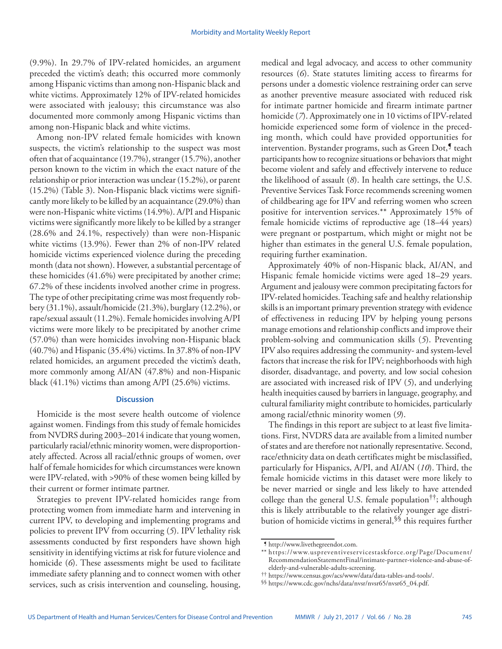(9.9%). In 29.7% of IPV-related homicides, an argument preceded the victim's death; this occurred more commonly among Hispanic victims than among non-Hispanic black and white victims. Approximately 12% of IPV-related homicides were associated with jealousy; this circumstance was also documented more commonly among Hispanic victims than among non-Hispanic black and white victims.

Among non-IPV related female homicides with known suspects, the victim's relationship to the suspect was most often that of acquaintance (19.7%), stranger (15.7%), another person known to the victim in which the exact nature of the relationship or prior interaction was unclear (15.2%), or parent (15.2%) (Table 3). Non-Hispanic black victims were significantly more likely to be killed by an acquaintance (29.0%) than were non-Hispanic white victims (14.9%). A/PI and Hispanic victims were significantly more likely to be killed by a stranger (28.6% and 24.1%, respectively) than were non-Hispanic white victims (13.9%). Fewer than 2% of non-IPV related homicide victims experienced violence during the preceding month (data not shown). However, a substantial percentage of these homicides (41.6%) were precipitated by another crime; 67.2% of these incidents involved another crime in progress. The type of other precipitating crime was most frequently robbery (31.1%), assault/homicide (21.3%), burglary (12.2%), or rape/sexual assault (11.2%). Female homicides involving A/PI victims were more likely to be precipitated by another crime (57.0%) than were homicides involving non-Hispanic black (40.7%) and Hispanic (35.4%) victims. In 37.8% of non-IPV related homicides, an argument preceded the victim's death, more commonly among AI/AN (47.8%) and non-Hispanic black (41.1%) victims than among A/PI (25.6%) victims.

#### **Discussion**

Homicide is the most severe health outcome of violence against women. Findings from this study of female homicides from NVDRS during 2003–2014 indicate that young women, particularly racial/ethnic minority women, were disproportionately affected. Across all racial/ethnic groups of women, over half of female homicides for which circumstances were known were IPV-related, with >90% of these women being killed by their current or former intimate partner.

Strategies to prevent IPV-related homicides range from protecting women from immediate harm and intervening in current IPV, to developing and implementing programs and policies to prevent IPV from occurring (*5*). IPV lethality risk assessments conducted by first responders have shown high sensitivity in identifying victims at risk for future violence and homicide (*6*). These assessments might be used to facilitate immediate safety planning and to connect women with other services, such as crisis intervention and counseling, housing,

medical and legal advocacy, and access to other community resources (*6*). State statutes limiting access to firearms for persons under a domestic violence restraining order can serve as another preventive measure associated with reduced risk for intimate partner homicide and firearm intimate partner homicide (*7*). Approximately one in 10 victims of IPV-related homicide experienced some form of violence in the preceding month, which could have provided opportunities for intervention. Bystander programs, such as Green Dot,<sup>1</sup> teach participants how to recognize situations or behaviors that might become violent and safely and effectively intervene to reduce the likelihood of assault (*8*). In health care settings, the U.S. Preventive Services Task Force recommends screening women of childbearing age for IPV and referring women who screen positive for intervention services.\*\* Approximately 15% of female homicide victims of reproductive age (18–44 years) were pregnant or postpartum, which might or might not be higher than estimates in the general U.S. female population, requiring further examination.

Approximately 40% of non-Hispanic black, AI/AN, and Hispanic female homicide victims were aged 18–29 years. Argument and jealousy were common precipitating factors for IPV-related homicides. Teaching safe and healthy relationship skills is an important primary prevention strategy with evidence of effectiveness in reducing IPV by helping young persons manage emotions and relationship conflicts and improve their problem-solving and communication skills (*5*). Preventing IPV also requires addressing the community- and system-level factors that increase the risk for IPV; neighborhoods with high disorder, disadvantage, and poverty, and low social cohesion are associated with increased risk of IPV (*5*), and underlying health inequities caused by barriers in language, geography, and cultural familiarity might contribute to homicides, particularly among racial/ethnic minority women (*9*).

The findings in this report are subject to at least five limitations. First, NVDRS data are available from a limited number of states and are therefore not nationally representative. Second, race/ethnicity data on death certificates might be misclassified, particularly for Hispanics, A/PI, and AI/AN (*10*). Third, the female homicide victims in this dataset were more likely to be never married or single and less likely to have attended college than the general U.S. female population<sup>††</sup>; although this is likely attributable to the relatively younger age distribution of homicide victims in general,§§ this requires further

<sup>¶</sup> <http://www.livethegreendot.com>.

<sup>\*\*</sup> [https://www.uspreventiveservicestaskforce.org/Page/Document/](https://www.uspreventiveservicestaskforce.org/Page/Document/RecommendationStatementFinal/intimate-partner-violence-and-abuse-of-elderly-and-vulnerable-adults-screening) [RecommendationStatementFinal/intimate-partner-violence-and-abuse-of](https://www.uspreventiveservicestaskforce.org/Page/Document/RecommendationStatementFinal/intimate-partner-violence-and-abuse-of-elderly-and-vulnerable-adults-screening)[elderly-and-vulnerable-adults-screening.](https://www.uspreventiveservicestaskforce.org/Page/Document/RecommendationStatementFinal/intimate-partner-violence-and-abuse-of-elderly-and-vulnerable-adults-screening) †† <https://www.census.gov/acs/www/data/data-tables-and-tools/>. §§ [https://www.cdc.gov/nchs/data/nvsr/nvsr65/nvsr65\\_04.pdf.](https://www.cdc.gov/nchs/data/nvsr/nvsr65/nvsr65_04.pdf)